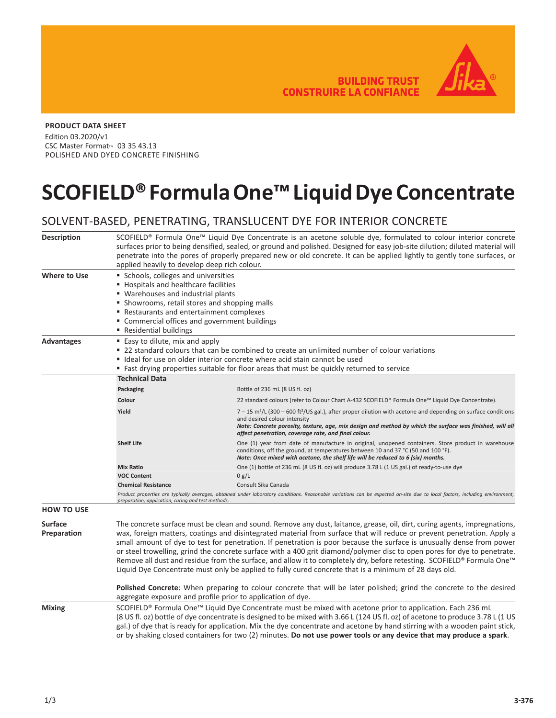**BUILDING TRUST CONSTRUIRE LA CONFIANCE** 



## **PRODUCT DATA SHEET**

Edition 03.2020/v1 CSC Master Format<sup>™</sup> 03 35 43.13 POLISHED AND DYED CONCRETE FINISHING

## **SCOFIELD® Formula One™ Liquid Dye Concentrate**

## SOLVENT-BASED, PENETRATING, TRANSLUCENT DYE FOR INTERIOR CONCRETE

| <b>Description</b>            | SCOFIELD® Formula One™ Liquid Dye Concentrate is an acetone soluble dye, formulated to colour interior concrete<br>surfaces prior to being densified, sealed, or ground and polished. Designed for easy job-site dilution; diluted material will<br>penetrate into the pores of properly prepared new or old concrete. It can be applied lightly to gently tone surfaces, or<br>applied heavily to develop deep rich colour.                                                                                                                                                                                                                                                                                                                 |                                                                                                                                                                                                                                                                                                                                           |  |
|-------------------------------|----------------------------------------------------------------------------------------------------------------------------------------------------------------------------------------------------------------------------------------------------------------------------------------------------------------------------------------------------------------------------------------------------------------------------------------------------------------------------------------------------------------------------------------------------------------------------------------------------------------------------------------------------------------------------------------------------------------------------------------------|-------------------------------------------------------------------------------------------------------------------------------------------------------------------------------------------------------------------------------------------------------------------------------------------------------------------------------------------|--|
| <b>Where to Use</b>           | Schools, colleges and universities<br>■ Hospitals and healthcare facilities<br>" Warehouses and industrial plants<br>• Showrooms, retail stores and shopping malls<br>Restaurants and entertainment complexes<br>" Commercial offices and government buildings<br>■ Residential buildings                                                                                                                                                                                                                                                                                                                                                                                                                                                    |                                                                                                                                                                                                                                                                                                                                           |  |
| <b>Advantages</b>             | ■ Easy to dilute, mix and apply<br>■ 22 standard colours that can be combined to create an unlimited number of colour variations<br>" Ideal for use on older interior concrete where acid stain cannot be used<br>■ Fast drying properties suitable for floor areas that must be quickly returned to service                                                                                                                                                                                                                                                                                                                                                                                                                                 |                                                                                                                                                                                                                                                                                                                                           |  |
|                               | <b>Technical Data</b>                                                                                                                                                                                                                                                                                                                                                                                                                                                                                                                                                                                                                                                                                                                        |                                                                                                                                                                                                                                                                                                                                           |  |
|                               | Packaging                                                                                                                                                                                                                                                                                                                                                                                                                                                                                                                                                                                                                                                                                                                                    | Bottle of 236 mL (8 US fl. oz)                                                                                                                                                                                                                                                                                                            |  |
|                               | Colour                                                                                                                                                                                                                                                                                                                                                                                                                                                                                                                                                                                                                                                                                                                                       | 22 standard colours (refer to Colour Chart A-432 SCOFIELD® Formula One™ Liquid Dye Concentrate).                                                                                                                                                                                                                                          |  |
|                               | Yield                                                                                                                                                                                                                                                                                                                                                                                                                                                                                                                                                                                                                                                                                                                                        | $7-15$ m <sup>2</sup> /L (300 - 600 ft <sup>2</sup> /US gal.), after proper dilution with acetone and depending on surface conditions<br>and desired colour intensity<br>Note: Concrete porosity, texture, age, mix design and method by which the surface was finished, will all<br>affect penetration, coverage rate, and final colour. |  |
|                               | <b>Shelf Life</b>                                                                                                                                                                                                                                                                                                                                                                                                                                                                                                                                                                                                                                                                                                                            | One (1) year from date of manufacture in original, unopened containers. Store product in warehouse<br>conditions, off the ground, at temperatures between 10 and 37 °C (50 and 100 °F).<br>Note: Once mixed with acetone, the shelf life will be reduced to 6 (six) months.                                                               |  |
|                               | <b>Mix Ratio</b>                                                                                                                                                                                                                                                                                                                                                                                                                                                                                                                                                                                                                                                                                                                             | One (1) bottle of 236 mL (8 US fl. oz) will produce 3.78 L (1 US gal.) of ready-to-use dye                                                                                                                                                                                                                                                |  |
|                               | <b>VOC Content</b>                                                                                                                                                                                                                                                                                                                                                                                                                                                                                                                                                                                                                                                                                                                           | 0 g/L                                                                                                                                                                                                                                                                                                                                     |  |
|                               | <b>Chemical Resistance</b>                                                                                                                                                                                                                                                                                                                                                                                                                                                                                                                                                                                                                                                                                                                   | Consult Sika Canada                                                                                                                                                                                                                                                                                                                       |  |
|                               | Product properties are typically averages, obtained under laboratory conditions. Reasonable variations can be expected on-site due to local factors, including environment,<br>preparation, application, curing and test methods.                                                                                                                                                                                                                                                                                                                                                                                                                                                                                                            |                                                                                                                                                                                                                                                                                                                                           |  |
| <b>HOW TO USE</b>             |                                                                                                                                                                                                                                                                                                                                                                                                                                                                                                                                                                                                                                                                                                                                              |                                                                                                                                                                                                                                                                                                                                           |  |
| <b>Surface</b><br>Preparation | The concrete surface must be clean and sound. Remove any dust, laitance, grease, oil, dirt, curing agents, impregnations,<br>wax, foreign matters, coatings and disintegrated material from surface that will reduce or prevent penetration. Apply a<br>small amount of dye to test for penetration. If penetration is poor because the surface is unusually dense from power<br>or steel trowelling, grind the concrete surface with a 400 grit diamond/polymer disc to open pores for dye to penetrate.<br>Remove all dust and residue from the surface, and allow it to completely dry, before retesting. SCOFIELD® Formula One™<br>Liquid Dye Concentrate must only be applied to fully cured concrete that is a minimum of 28 days old. |                                                                                                                                                                                                                                                                                                                                           |  |
|                               | Polished Concrete: When preparing to colour concrete that will be later polished; grind the concrete to the desired<br>aggregate exposure and profile prior to application of dye.                                                                                                                                                                                                                                                                                                                                                                                                                                                                                                                                                           |                                                                                                                                                                                                                                                                                                                                           |  |
| <b>Mixing</b>                 | SCOFIELD® Formula One™ Liquid Dye Concentrate must be mixed with acetone prior to application. Each 236 mL<br>(8 US fl. oz) bottle of dye concentrate is designed to be mixed with 3.66 L (124 US fl. oz) of acetone to produce 3.78 L (1 US<br>gal.) of dye that is ready for application. Mix the dye concentrate and acetone by hand stirring with a wooden paint stick,<br>or by shaking closed containers for two (2) minutes. Do not use power tools or any device that may produce a spark.                                                                                                                                                                                                                                           |                                                                                                                                                                                                                                                                                                                                           |  |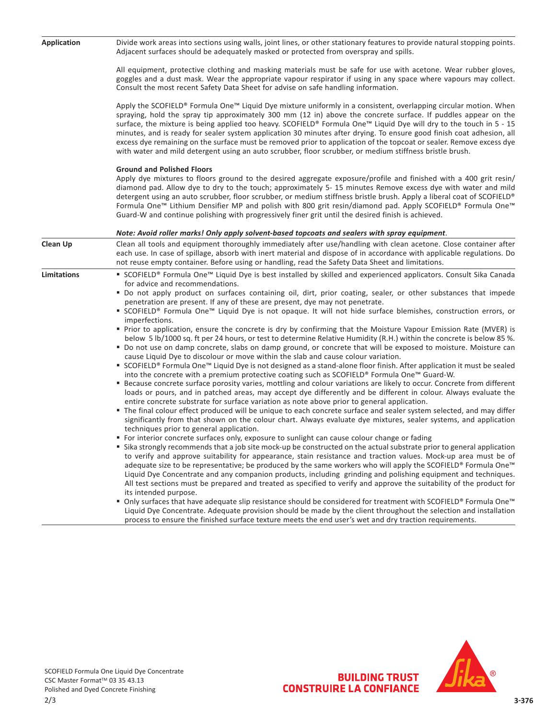| <b>Application</b> | Divide work areas into sections using walls, joint lines, or other stationary features to provide natural stopping points.<br>Adjacent surfaces should be adequately masked or protected from overspray and spills.                                                                                                                                                                                                                                                                                                                                                                                                                                                                                                                                                                                                                                                                                                                                                                                                                                                                                                                                                                                                                                                                                                                                                                                                                                                                                                                                                                                                                                                                                                                                                                                                                                                                                                                                                                                                                                                                                                                                                                                                                                                                                                                                                                                                                                                                                                                                                                                                                                               |  |  |
|--------------------|-------------------------------------------------------------------------------------------------------------------------------------------------------------------------------------------------------------------------------------------------------------------------------------------------------------------------------------------------------------------------------------------------------------------------------------------------------------------------------------------------------------------------------------------------------------------------------------------------------------------------------------------------------------------------------------------------------------------------------------------------------------------------------------------------------------------------------------------------------------------------------------------------------------------------------------------------------------------------------------------------------------------------------------------------------------------------------------------------------------------------------------------------------------------------------------------------------------------------------------------------------------------------------------------------------------------------------------------------------------------------------------------------------------------------------------------------------------------------------------------------------------------------------------------------------------------------------------------------------------------------------------------------------------------------------------------------------------------------------------------------------------------------------------------------------------------------------------------------------------------------------------------------------------------------------------------------------------------------------------------------------------------------------------------------------------------------------------------------------------------------------------------------------------------------------------------------------------------------------------------------------------------------------------------------------------------------------------------------------------------------------------------------------------------------------------------------------------------------------------------------------------------------------------------------------------------------------------------------------------------------------------------------------------------|--|--|
|                    | All equipment, protective clothing and masking materials must be safe for use with acetone. Wear rubber gloves,<br>goggles and a dust mask. Wear the appropriate vapour respirator if using in any space where vapours may collect.<br>Consult the most recent Safety Data Sheet for advise on safe handling information.                                                                                                                                                                                                                                                                                                                                                                                                                                                                                                                                                                                                                                                                                                                                                                                                                                                                                                                                                                                                                                                                                                                                                                                                                                                                                                                                                                                                                                                                                                                                                                                                                                                                                                                                                                                                                                                                                                                                                                                                                                                                                                                                                                                                                                                                                                                                         |  |  |
|                    | Apply the SCOFIELD® Formula One™ Liquid Dye mixture uniformly in a consistent, overlapping circular motion. When<br>spraying, hold the spray tip approximately 300 mm (12 in) above the concrete surface. If puddles appear on the<br>surface, the mixture is being applied too heavy. SCOFIELD® Formula One™ Liquid Dye will dry to the touch in 5 - 15<br>minutes, and is ready for sealer system application 30 minutes after drying. To ensure good finish coat adhesion, all<br>excess dye remaining on the surface must be removed prior to application of the topcoat or sealer. Remove excess dye<br>with water and mild detergent using an auto scrubber, floor scrubber, or medium stiffness bristle brush.                                                                                                                                                                                                                                                                                                                                                                                                                                                                                                                                                                                                                                                                                                                                                                                                                                                                                                                                                                                                                                                                                                                                                                                                                                                                                                                                                                                                                                                                                                                                                                                                                                                                                                                                                                                                                                                                                                                                             |  |  |
|                    | <b>Ground and Polished Floors</b><br>Apply dye mixtures to floors ground to the desired aggregate exposure/profile and finished with a 400 grit resin/<br>diamond pad. Allow dye to dry to the touch; approximately 5-15 minutes Remove excess dye with water and mild<br>detergent using an auto scrubber, floor scrubber, or medium stiffness bristle brush. Apply a liberal coat of SCOFIELD®<br>Formula One <sup>™</sup> Lithium Densifier MP and polish with 800 grit resin/diamond pad. Apply SCOFIELD® Formula One™<br>Guard-W and continue polishing with progressively finer grit until the desired finish is achieved.                                                                                                                                                                                                                                                                                                                                                                                                                                                                                                                                                                                                                                                                                                                                                                                                                                                                                                                                                                                                                                                                                                                                                                                                                                                                                                                                                                                                                                                                                                                                                                                                                                                                                                                                                                                                                                                                                                                                                                                                                                  |  |  |
|                    | Note: Avoid roller marks! Only apply solvent-based topcoats and sealers with spray equipment.                                                                                                                                                                                                                                                                                                                                                                                                                                                                                                                                                                                                                                                                                                                                                                                                                                                                                                                                                                                                                                                                                                                                                                                                                                                                                                                                                                                                                                                                                                                                                                                                                                                                                                                                                                                                                                                                                                                                                                                                                                                                                                                                                                                                                                                                                                                                                                                                                                                                                                                                                                     |  |  |
| Clean Up           | Clean all tools and equipment thoroughly immediately after use/handling with clean acetone. Close container after<br>each use. In case of spillage, absorb with inert material and dispose of in accordance with applicable regulations. Do<br>not reuse empty container. Before using or handling, read the Safety Data Sheet and limitations.                                                                                                                                                                                                                                                                                                                                                                                                                                                                                                                                                                                                                                                                                                                                                                                                                                                                                                                                                                                                                                                                                                                                                                                                                                                                                                                                                                                                                                                                                                                                                                                                                                                                                                                                                                                                                                                                                                                                                                                                                                                                                                                                                                                                                                                                                                                   |  |  |
| <b>Limitations</b> | ■ SCOFIELD® Formula One™ Liquid Dye is best installed by skilled and experienced applicators. Consult Sika Canada<br>for advice and recommendations.<br>" Do not apply product on surfaces containing oil, dirt, prior coating, sealer, or other substances that impede<br>penetration are present. If any of these are present, dye may not penetrate.<br>■ SCOFIELD® Formula One™ Liquid Dye is not opaque. It will not hide surface blemishes, construction errors, or<br>imperfections.<br>Prior to application, ensure the concrete is dry by confirming that the Moisture Vapour Emission Rate (MVER) is<br>below 5 lb/1000 sq. ft per 24 hours, or test to determine Relative Humidity (R.H.) within the concrete is below 85 %.<br>Do not use on damp concrete, slabs on damp ground, or concrete that will be exposed to moisture. Moisture can<br>cause Liquid Dye to discolour or move within the slab and cause colour variation.<br>■ SCOFIELD® Formula One™ Liquid Dye is not designed as a stand-alone floor finish. After application it must be sealed<br>into the concrete with a premium protective coating such as SCOFIELD® Formula One™ Guard-W.<br>" Because concrete surface porosity varies, mottling and colour variations are likely to occur. Concrete from different<br>loads or pours, and in patched areas, may accept dye differently and be different in colour. Always evaluate the<br>entire concrete substrate for surface variation as note above prior to general application.<br>" The final colour effect produced will be unique to each concrete surface and sealer system selected, and may differ<br>significantly from that shown on the colour chart. Always evaluate dye mixtures, sealer systems, and application<br>techniques prior to general application.<br>• For interior concrete surfaces only, exposure to sunlight can cause colour change or fading<br>Sika strongly recommends that a job site mock-up be constructed on the actual substrate prior to general application<br>to verify and approve suitability for appearance, stain resistance and traction values. Mock-up area must be of<br>adequate size to be representative; be produced by the same workers who will apply the SCOFIELD® Formula One™<br>Liquid Dye Concentrate and any companion products, including grinding and polishing equipment and techniques.<br>All test sections must be prepared and treated as specified to verify and approve the suitability of the product for<br>its intended purpose.<br>■ Only surfaces that have adequate slip resistance should be considered for treatment with SCOFIELD® Formula One™ |  |  |
|                    | Liquid Dye Concentrate. Adequate provision should be made by the client throughout the selection and installation                                                                                                                                                                                                                                                                                                                                                                                                                                                                                                                                                                                                                                                                                                                                                                                                                                                                                                                                                                                                                                                                                                                                                                                                                                                                                                                                                                                                                                                                                                                                                                                                                                                                                                                                                                                                                                                                                                                                                                                                                                                                                                                                                                                                                                                                                                                                                                                                                                                                                                                                                 |  |  |

process to ensure the finished surface texture meets the end user's wet and dry traction requirements.